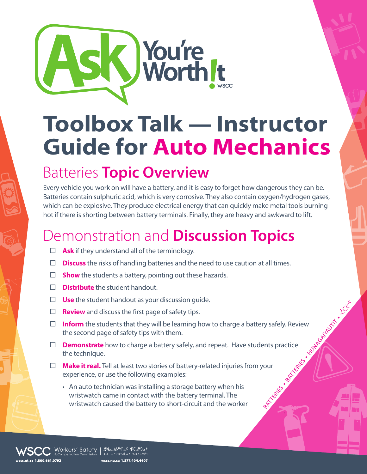

## **Toolbox Talk — Instructor Guide for Auto Mechanics**

## Batteries **Topic Overview**

Every vehicle you work on will have a battery, and it is easy to forget how dangerous they can be. Batteries contain sulphuric acid, which is very corrosive. They also contain oxygen/hydrogen gases, which can be explosive. They produce electrical energy that can quickly make metal tools burning hot if there is shorting between battery terminals. Finally, they are heavy and awkward to lift.

## Demonstration and **Discussion Topics**

- $\Box$  **Ask** if they understand all of the terminology.
- **Discuss** the risks of handling batteries and the need to use caution at all times.
- □ **Show** the students a battery, pointing out these hazards.
- **Distribute** the student handout.
- **Use** the student handout as your discussion guide.
- **Review** and discuss the first page of safety tips.
- BATTERIES n BATTERIES n HUNAGAIYAUTIT N  $\Box$  **Inform** the students that they will be learning how to charge a battery safely. Review the second page of safety tips with them.
- **Demonstrate** how to charge a battery safely, and repeat. Have students practice the technique.
- **Make it real.** Tell at least two stories of battery-related injuries from your experience, or use the following examples:
	- An auto technician was installing a storage battery when his wristwatch came in contact with the battery terminal. The wristwatch caused the battery to short-circuit and the worker

Morkers′ Safety | ∆‱∆په∩ه د دهنه  $4H - 4R$  in  $4H - 2R$ wscc.nu.ca 1.877.404.4407

scc.nt.ca 1.800.661.0792